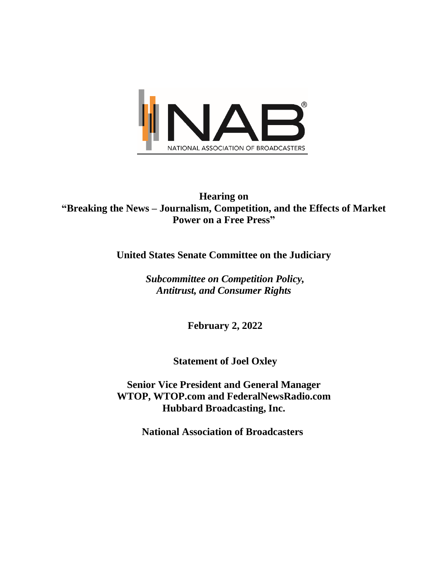

# **Hearing on "Breaking the News – Journalism, Competition, and the Effects of Market Power on a Free Press"**

**United States Senate Committee on the Judiciary**

*Subcommittee on Competition Policy, Antitrust, and Consumer Rights*

**February 2, 2022**

**Statement of Joel Oxley**

**Senior Vice President and General Manager WTOP, WTOP.com and FederalNewsRadio.com Hubbard Broadcasting, Inc.**

**National Association of Broadcasters**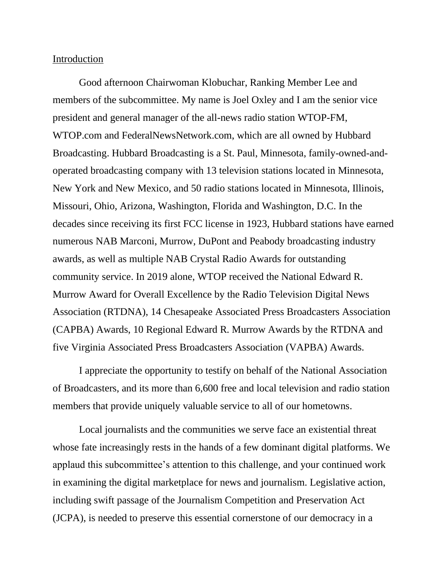#### Introduction

Good afternoon Chairwoman Klobuchar, Ranking Member Lee and members of the subcommittee. My name is Joel Oxley and I am the senior vice president and general manager of the all-news radio station WTOP-FM, WTOP.com and FederalNewsNetwork.com, which are all owned by Hubbard Broadcasting. Hubbard Broadcasting is a St. Paul, Minnesota, family-owned-andoperated broadcasting company with 13 television stations located in Minnesota, New York and New Mexico, and 50 radio stations located in Minnesota, Illinois, Missouri, Ohio, Arizona, Washington, Florida and Washington, D.C. In the decades since receiving its first FCC license in 1923, Hubbard stations have earned numerous NAB Marconi, Murrow, DuPont and Peabody broadcasting industry awards, as well as multiple NAB Crystal Radio Awards for outstanding community service. In 2019 alone, WTOP received the National Edward R. Murrow Award for Overall Excellence by the Radio Television Digital News Association (RTDNA), 14 Chesapeake Associated Press Broadcasters Association (CAPBA) Awards, 10 Regional Edward R. Murrow Awards by the RTDNA and five Virginia Associated Press Broadcasters Association (VAPBA) Awards.

I appreciate the opportunity to testify on behalf of the National Association of Broadcasters, and its more than 6,600 free and local television and radio station members that provide uniquely valuable service to all of our hometowns.

Local journalists and the communities we serve face an existential threat whose fate increasingly rests in the hands of a few dominant digital platforms. We applaud this subcommittee's attention to this challenge, and your continued work in examining the digital marketplace for news and journalism. Legislative action, including swift passage of the Journalism Competition and Preservation Act (JCPA), is needed to preserve this essential cornerstone of our democracy in a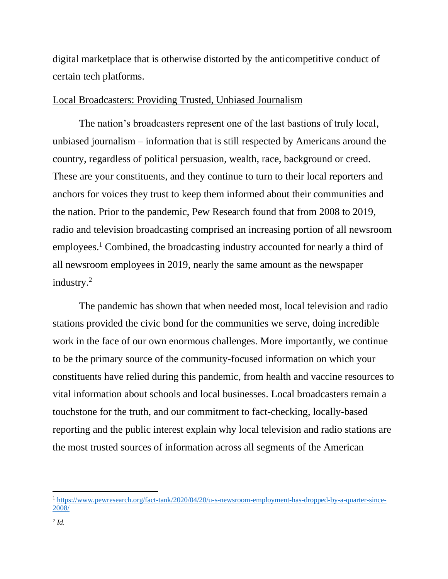digital marketplace that is otherwise distorted by the anticompetitive conduct of certain tech platforms.

## Local Broadcasters: Providing Trusted, Unbiased Journalism

The nation's broadcasters represent one of the last bastions of truly local, unbiased journalism – information that is still respected by Americans around the country, regardless of political persuasion, wealth, race, background or creed. These are your constituents, and they continue to turn to their local reporters and anchors for voices they trust to keep them informed about their communities and the nation. Prior to the pandemic, Pew Research found that from 2008 to 2019, radio and television broadcasting comprised an increasing portion of all newsroom employees.<sup>1</sup> Combined, the broadcasting industry accounted for nearly a third of all newsroom employees in 2019, nearly the same amount as the newspaper industry.<sup>2</sup>

The pandemic has shown that when needed most, local television and radio stations provided the civic bond for the communities we serve, doing incredible work in the face of our own enormous challenges. More importantly, we continue to be the primary source of the community-focused information on which your constituents have relied during this pandemic, from health and vaccine resources to vital information about schools and local businesses. Local broadcasters remain a touchstone for the truth, and our commitment to fact-checking, locally-based reporting and the public interest explain why local television and radio stations are the most trusted sources of information across all segments of the American

<sup>1</sup> [https://www.pewresearch.org/fact-tank/2020/04/20/u-s-newsroom-employment-has-dropped-by-a-quarter-since-](https://www.pewresearch.org/fact-tank/2020/04/20/u-s-newsroom-employment-has-dropped-by-a-quarter-since-2008/)[2008/](https://www.pewresearch.org/fact-tank/2020/04/20/u-s-newsroom-employment-has-dropped-by-a-quarter-since-2008/)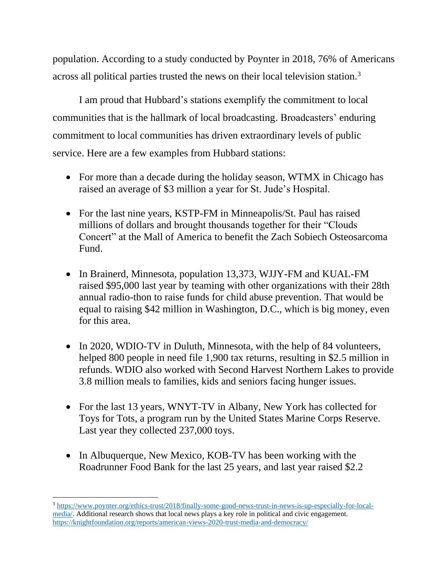population. According to a study conducted by Poynter in 2018, 76% of Americans across all political parties trusted the news on their local television station.<sup>3</sup>

I am proud that Hubbard's stations exemplify the commitment to local communities that is the hallmark of local broadcasting. Broadcasters' enduring commitment to local communities has driven extraordinary levels of public service. Here are a few examples from Hubbard stations:

- For more than a decade during the holiday season, WTMX in Chicago has raised an average of \$3 million a year for St. Jude's Hospital.
- For the last nine years, KSTP-FM in Minneapolis/St. Paul has raised millions of dollars and brought thousands together for their "Clouds Concert" at the Mall of America to benefit the Zach Sobiech Osteosarcoma Fund.
- In Brainerd, Minnesota, population 13,373, WJJY-FM and KUAL-FM raised \$95,000 last year by teaming with other organizations with their 28th annual radio-thon to raise funds for child abuse prevention. That would be equal to raising \$42 million in Washington, D.C., which is big money, even for this area.
- In 2020, WDIO-TV in Duluth, Minnesota, with the help of 84 volunteers, helped 800 people in need file 1,900 tax returns, resulting in \$2.5 million in refunds. WDIO also worked with Second Harvest Northern Lakes to provide 3.8 million meals to families, kids and seniors facing hunger issues.
- For the last 13 years, WNYT-TV in Albany, New York has collected for Toys for Tots, a program run by the United States Marine Corps Reserve. Last year they collected 237,000 toys.
- In Albuquerque, New Mexico, KOB-TV has been working with the Roadrunner Food Bank for the last 25 years, and last year raised \$2.2

<sup>3</sup> [https://www.poynter.org/ethics-trust/2018/finally-some-good-news-trust-in-news-is-up-especially-for-local](https://www.poynter.org/ethics-trust/2018/finally-some-good-news-trust-in-news-is-up-especially-for-local-media/)[media/.](https://www.poynter.org/ethics-trust/2018/finally-some-good-news-trust-in-news-is-up-especially-for-local-media/) Additional research shows that local news plays a key role in political and civic engagement. <https://knightfoundation.org/reports/american-views-2020-trust-media-and-democracy/>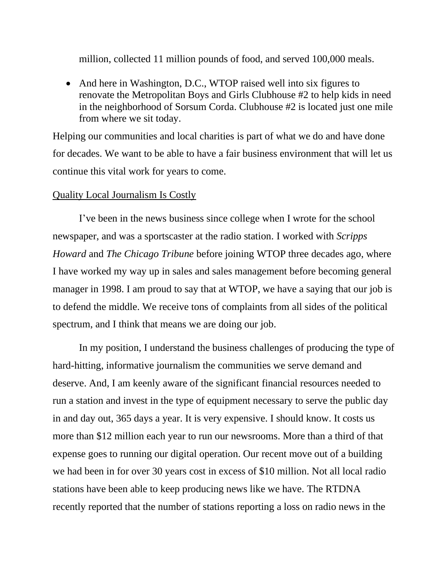million, collected 11 million pounds of food, and served 100,000 meals.

• And here in Washington, D.C., WTOP raised well into six figures to renovate the Metropolitan Boys and Girls Clubhouse #2 to help kids in need in the neighborhood of Sorsum Corda. Clubhouse #2 is located just one mile from where we sit today.

Helping our communities and local charities is part of what we do and have done for decades. We want to be able to have a fair business environment that will let us continue this vital work for years to come.

### Quality Local Journalism Is Costly

I've been in the news business since college when I wrote for the school newspaper, and was a sportscaster at the radio station. I worked with *Scripps Howard* and *The Chicago Tribune* before joining WTOP three decades ago, where I have worked my way up in sales and sales management before becoming general manager in 1998. I am proud to say that at WTOP, we have a saying that our job is to defend the middle. We receive tons of complaints from all sides of the political spectrum, and I think that means we are doing our job.

In my position, I understand the business challenges of producing the type of hard-hitting, informative journalism the communities we serve demand and deserve. And, I am keenly aware of the significant financial resources needed to run a station and invest in the type of equipment necessary to serve the public day in and day out, 365 days a year. It is very expensive. I should know. It costs us more than \$12 million each year to run our newsrooms. More than a third of that expense goes to running our digital operation. Our recent move out of a building we had been in for over 30 years cost in excess of \$10 million. Not all local radio stations have been able to keep producing news like we have. The RTDNA recently reported that the number of stations reporting a loss on radio news in the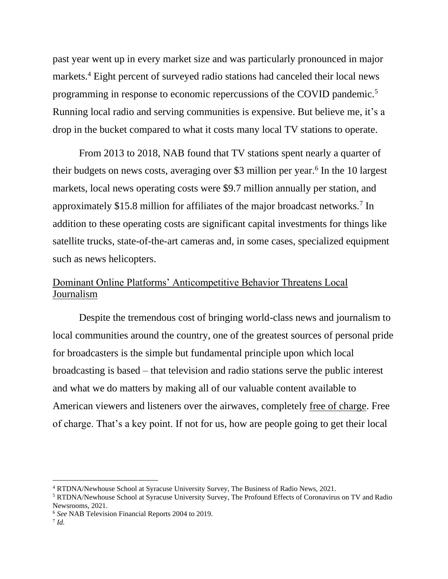past year went up in every market size and was particularly pronounced in major markets.<sup>4</sup> Eight percent of surveyed radio stations had canceled their local news programming in response to economic repercussions of the COVID pandemic.<sup>5</sup> Running local radio and serving communities is expensive. But believe me, it's a drop in the bucket compared to what it costs many local TV stations to operate.

From 2013 to 2018, NAB found that TV stations spent nearly a quarter of their budgets on news costs, averaging over \$3 million per year.<sup>6</sup> In the 10 largest markets, local news operating costs were \$9.7 million annually per station, and approximately \$15.8 million for affiliates of the major broadcast networks.<sup>7</sup> In addition to these operating costs are significant capital investments for things like satellite trucks, state-of-the-art cameras and, in some cases, specialized equipment such as news helicopters.

# Dominant Online Platforms' Anticompetitive Behavior Threatens Local Journalism

Despite the tremendous cost of bringing world-class news and journalism to local communities around the country, one of the greatest sources of personal pride for broadcasters is the simple but fundamental principle upon which local broadcasting is based – that television and radio stations serve the public interest and what we do matters by making all of our valuable content available to American viewers and listeners over the airwaves, completely free of charge. Free of charge. That's a key point. If not for us, how are people going to get their local

<sup>4</sup> RTDNA/Newhouse School at Syracuse University Survey, The Business of Radio News, 2021.

<sup>5</sup> RTDNA/Newhouse School at Syracuse University Survey, The Profound Effects of Coronavirus on TV and Radio Newsrooms, 2021.

<sup>6</sup> *See* NAB Television Financial Reports 2004 to 2019.

<sup>7</sup> *Id.*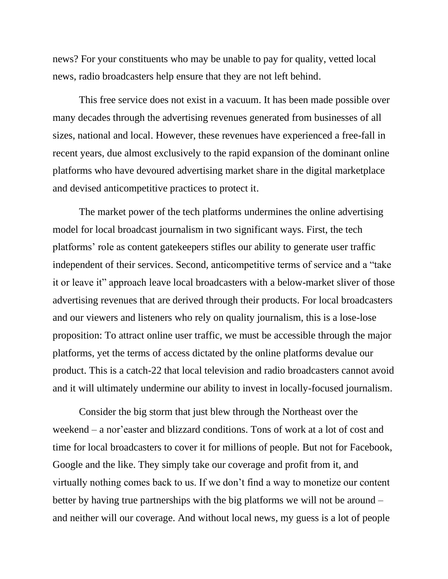news? For your constituents who may be unable to pay for quality, vetted local news, radio broadcasters help ensure that they are not left behind.

This free service does not exist in a vacuum. It has been made possible over many decades through the advertising revenues generated from businesses of all sizes, national and local. However, these revenues have experienced a free-fall in recent years, due almost exclusively to the rapid expansion of the dominant online platforms who have devoured advertising market share in the digital marketplace and devised anticompetitive practices to protect it.

The market power of the tech platforms undermines the online advertising model for local broadcast journalism in two significant ways. First, the tech platforms' role as content gatekeepers stifles our ability to generate user traffic independent of their services. Second, anticompetitive terms of service and a "take it or leave it" approach leave local broadcasters with a below-market sliver of those advertising revenues that are derived through their products. For local broadcasters and our viewers and listeners who rely on quality journalism, this is a lose-lose proposition: To attract online user traffic, we must be accessible through the major platforms, yet the terms of access dictated by the online platforms devalue our product. This is a catch-22 that local television and radio broadcasters cannot avoid and it will ultimately undermine our ability to invest in locally-focused journalism.

Consider the big storm that just blew through the Northeast over the weekend – a nor'easter and blizzard conditions. Tons of work at a lot of cost and time for local broadcasters to cover it for millions of people. But not for Facebook, Google and the like. They simply take our coverage and profit from it, and virtually nothing comes back to us. If we don't find a way to monetize our content better by having true partnerships with the big platforms we will not be around – and neither will our coverage. And without local news, my guess is a lot of people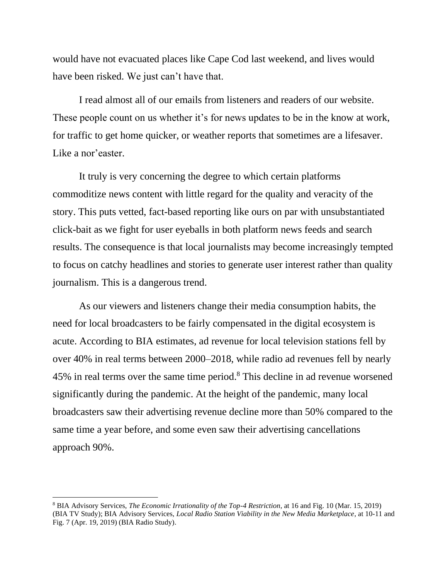would have not evacuated places like Cape Cod last weekend, and lives would have been risked. We just can't have that.

I read almost all of our emails from listeners and readers of our website. These people count on us whether it's for news updates to be in the know at work, for traffic to get home quicker, or weather reports that sometimes are a lifesaver. Like a nor'easter.

It truly is very concerning the degree to which certain platforms commoditize news content with little regard for the quality and veracity of the story. This puts vetted, fact-based reporting like ours on par with unsubstantiated click-bait as we fight for user eyeballs in both platform news feeds and search results. The consequence is that local journalists may become increasingly tempted to focus on catchy headlines and stories to generate user interest rather than quality journalism. This is a dangerous trend.

As our viewers and listeners change their media consumption habits, the need for local broadcasters to be fairly compensated in the digital ecosystem is acute. According to BIA estimates, ad revenue for local television stations fell by over 40% in real terms between 2000–2018, while radio ad revenues fell by nearly 45% in real terms over the same time period. <sup>8</sup> This decline in ad revenue worsened significantly during the pandemic. At the height of the pandemic, many local broadcasters saw their advertising revenue decline more than 50% compared to the same time a year before, and some even saw their advertising cancellations approach 90%.

<sup>8</sup> BIA Advisory Services, *The Economic Irrationality of the Top*-*4 Restriction*, at 16 and Fig. 10 (Mar. 15, 2019) (BIA TV Study); BIA Advisory Services, *Local Radio Station Viability in the New Media Marketplace*, at 10-11 and Fig. 7 (Apr. 19, 2019) (BIA Radio Study).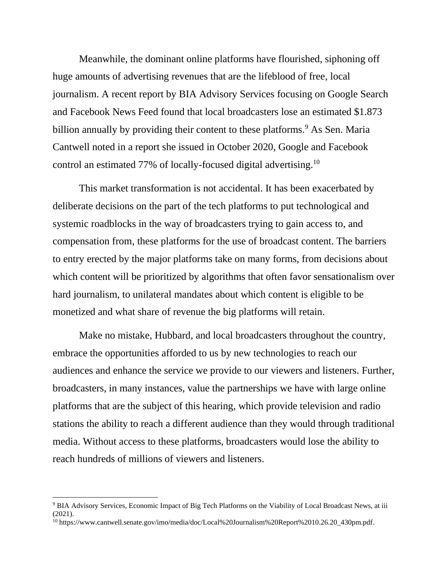Meanwhile, the dominant online platforms have flourished, siphoning off huge amounts of advertising revenues that are the lifeblood of free, local journalism. A recent report by BIA Advisory Services focusing on Google Search and Facebook News Feed found that local broadcasters lose an estimated \$1.873 billion annually by providing their content to these platforms.<sup>9</sup> As Sen. Maria Cantwell noted in a report she issued in October 2020, Google and Facebook control an estimated 77% of locally-focused digital advertising.<sup>10</sup>

This market transformation is not accidental. It has been exacerbated by deliberate decisions on the part of the tech platforms to put technological and systemic roadblocks in the way of broadcasters trying to gain access to, and compensation from, these platforms for the use of broadcast content. The barriers to entry erected by the major platforms take on many forms, from decisions about which content will be prioritized by algorithms that often favor sensationalism over hard journalism, to unilateral mandates about which content is eligible to be monetized and what share of revenue the big platforms will retain.

Make no mistake, Hubbard, and local broadcasters throughout the country, embrace the opportunities afforded to us by new technologies to reach our audiences and enhance the service we provide to our viewers and listeners. Further, broadcasters, in many instances, value the partnerships we have with large online platforms that are the subject of this hearing, which provide television and radio stations the ability to reach a different audience than they would through traditional media. Without access to these platforms, broadcasters would lose the ability to reach hundreds of millions of viewers and listeners.

<sup>9</sup> BIA Advisory Services, Economic Impact of Big Tech Platforms on the Viability of Local Broadcast News, at iii (2021).

<sup>10</sup> https://www.cantwell.senate.gov/imo/media/doc/Local%20Journalism%20Report%2010.26.20\_430pm.pdf.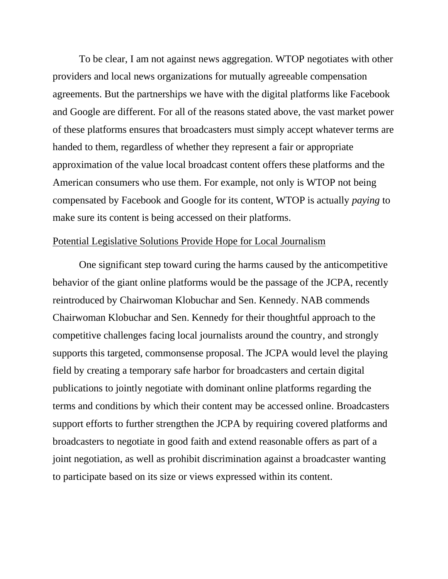To be clear, I am not against news aggregation. WTOP negotiates with other providers and local news organizations for mutually agreeable compensation agreements. But the partnerships we have with the digital platforms like Facebook and Google are different. For all of the reasons stated above, the vast market power of these platforms ensures that broadcasters must simply accept whatever terms are handed to them, regardless of whether they represent a fair or appropriate approximation of the value local broadcast content offers these platforms and the American consumers who use them. For example, not only is WTOP not being compensated by Facebook and Google for its content, WTOP is actually *paying* to make sure its content is being accessed on their platforms.

### Potential Legislative Solutions Provide Hope for Local Journalism

One significant step toward curing the harms caused by the anticompetitive behavior of the giant online platforms would be the passage of the JCPA, recently reintroduced by Chairwoman Klobuchar and Sen. Kennedy. NAB commends Chairwoman Klobuchar and Sen. Kennedy for their thoughtful approach to the competitive challenges facing local journalists around the country, and strongly supports this targeted, commonsense proposal. The JCPA would level the playing field by creating a temporary safe harbor for broadcasters and certain digital publications to jointly negotiate with dominant online platforms regarding the terms and conditions by which their content may be accessed online. Broadcasters support efforts to further strengthen the JCPA by requiring covered platforms and broadcasters to negotiate in good faith and extend reasonable offers as part of a joint negotiation, as well as prohibit discrimination against a broadcaster wanting to participate based on its size or views expressed within its content.